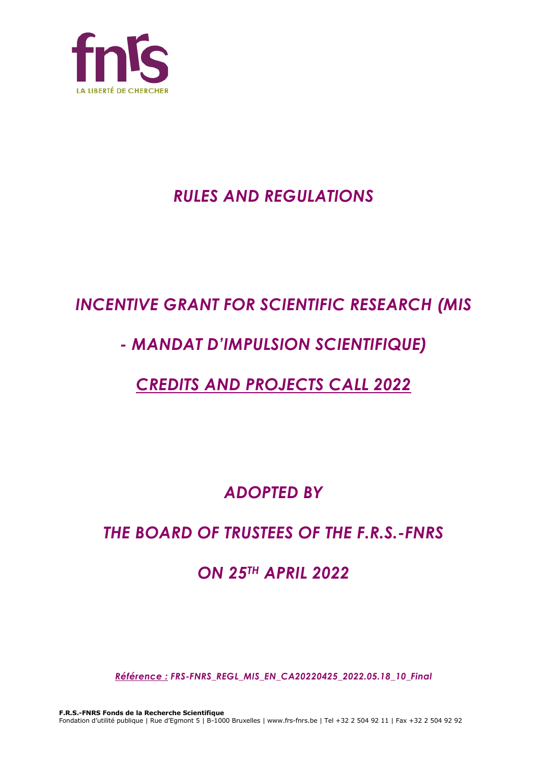

# *RULES AND REGULATIONS*

# *INCENTIVE GRANT FOR SCIENTIFIC RESEARCH (MIS*

# *- MANDAT D'IMPULSION SCIENTIFIQUE)*

# *CREDITS AND PROJECTS CALL 2022*

# *ADOPTED BY*

# *THE BOARD OF TRUSTEES OF THE F.R.S.-FNRS*

# *ON 25TH APRIL 2022*

*Référence : FRS-FNRS\_REGL\_MIS\_EN\_CA20220425\_2022.05.18\_10\_Final*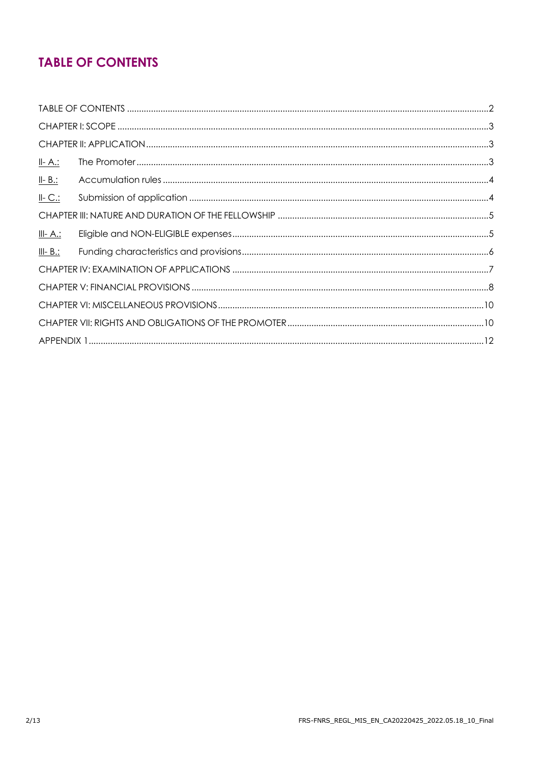# **TABLE OF CONTENTS**

| <u>II- A.:</u>  |  |  |  |
|-----------------|--|--|--|
| $II - B$ .:     |  |  |  |
| $II-C.$         |  |  |  |
|                 |  |  |  |
| <u>III- A.:</u> |  |  |  |
| $III - B$ .:    |  |  |  |
|                 |  |  |  |
|                 |  |  |  |
|                 |  |  |  |
|                 |  |  |  |
|                 |  |  |  |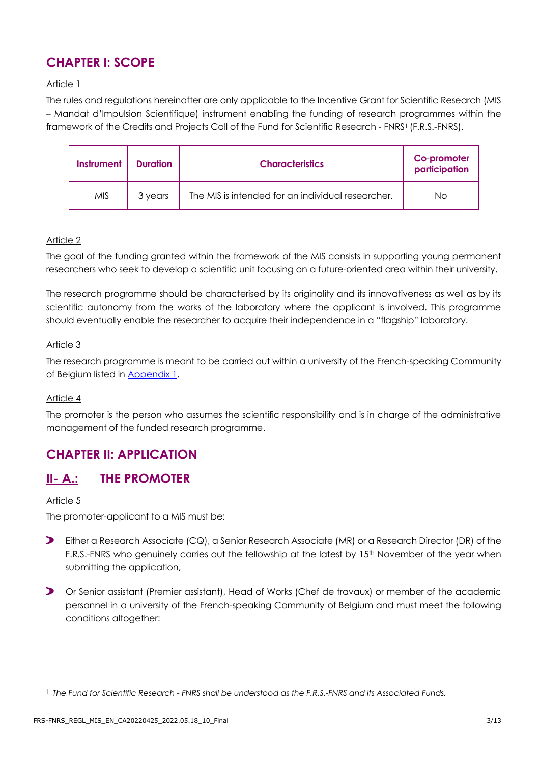# **CHAPTER I: SCOPE**

## Article 1

The rules and regulations hereinafter are only applicable to the Incentive Grant for Scientific Research (MIS – Mandat d'Impulsion Scientifique) instrument enabling the funding of research programmes within the framework of the Credits and Projects Call of the Fund for Scientific Research - FNRS1 (F.R.S.-FNRS).

| Instrument | <b>Duration</b> | <b>Characteristics</b>                            | Co-promoter<br>participation |
|------------|-----------------|---------------------------------------------------|------------------------------|
| <b>MIS</b> | 3 years         | The MIS is intended for an individual researcher. | Νo                           |

#### Article 2

The goal of the funding granted within the framework of the MIS consists in supporting young permanent researchers who seek to develop a scientific unit focusing on a future-oriented area within their university.

The research programme should be characterised by its originality and its innovativeness as well as by its scientific autonomy from the works of the laboratory where the applicant is involved. This programme should eventually enable the researcher to acquire their independence in a "flagship" laboratory.

## Article 3

The research programme is meant to be carried out within a university of the French-speaking Community of Belgium listed in **Appendix 1.** 

#### Article 4

The promoter is the person who assumes the scientific responsibility and is in charge of the administrative management of the funded research programme.

# **CHAPTER II: APPLICATION**

## **II- A.: THE PROMOTER**

#### Article 5

The promoter-applicant to a MIS must be:

- $\blacktriangleright$ Either a Research Associate (CQ), a Senior Research Associate (MR) or a Research Director (DR) of the F.R.S.-FNRS who genuinely carries out the fellowship at the latest by 15<sup>th</sup> November of the year when submitting the application,
- Or Senior assistant (Premier assistant), Head of Works (Chef de travaux) or member of the academic personnel in a university of the French-speaking Community of Belgium and must meet the following conditions altogether:

<sup>1</sup> *The Fund for Scientific Research - FNRS shall be understood as the F.R.S.-FNRS and its Associated Funds.*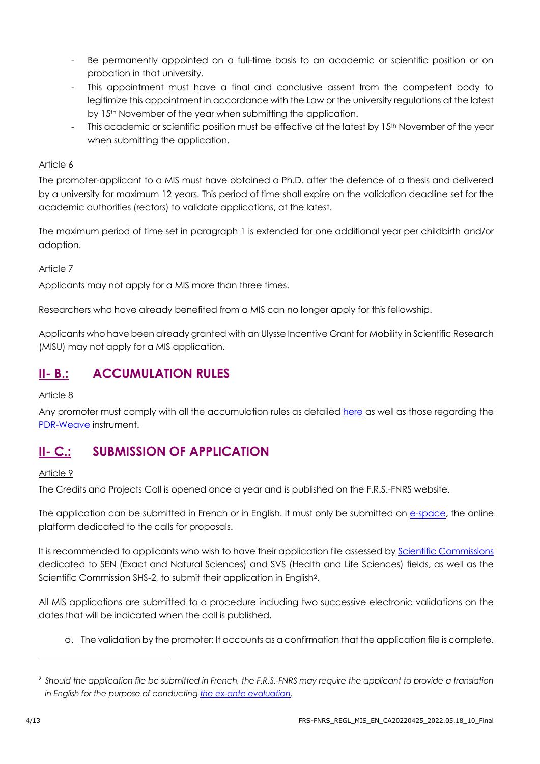- Be permanently appointed on a full-time basis to an academic or scientific position or on probation in that university.
- This appointment must have a final and conclusive assent from the competent body to legitimize this appointment in accordance with the Law or the university regulations at the latest by 15<sup>th</sup> November of the year when submitting the application.
- This academic or scientific position must be effective at the latest by 15<sup>th</sup> November of the year when submitting the application.

## Article 6

The promoter-applicant to a MIS must have obtained a Ph.D. after the defence of a thesis and delivered by a university for maximum 12 years. This period of time shall expire on the validation deadline set for the academic authorities (rectors) to validate applications, at the latest.

The maximum period of time set in paragraph 1 is extended for one additional year per childbirth and/or adoption.

## Article 7

Applicants may not apply for a MIS more than three times.

Researchers who have already benefited from a MIS can no longer apply for this fellowship.

Applicants who have been already granted with an Ulysse Incentive Grant for Mobility in Scientific Research (MISU) may not apply for a MIS application.

# **II- B.: ACCUMULATION RULES**

## Article 8

Any promoter must comply with all the accumulation rules as detailed [here](https://www.frs-fnrs.be/docs/Reglement-et-documents/Regles-cumul.pdf) as well as those regarding the [PDR-Weave](https://www.frs-fnrs.be/docs/Reglement-et-documents/FRS-FNRS_REGL_PDR-Weave_FR.pdf) instrument.

# **II- C.: SUBMISSION OF APPLICATION**

## Article 9

The Credits and Projects Call is opened once a year and is published on the F.R.S.-FNRS website.

The application can be submitted in French or in English. It must only be submitted on [e-space,](https://e-space.frs-fnrs.be/) the online platform dedicated to the calls for proposals.

It is recommended to applicants who wish to have their application file assessed by [Scientific Commissions](https://www.frs-fnrs.be/docs/Reglement-et-documents/FRS-FNRS_Champs_descripteurs.pdf) dedicated to SEN (Exact and Natural Sciences) and SVS (Health and Life Sciences) fields, as well as the Scientific Commission SHS-2, to submit their application in English2.

All MIS applications are submitted to a procedure including two successive electronic validations on the dates that will be indicated when the call is published.

a. The validation by the promoter: It accounts as a confirmation that the application file is complete.

<sup>2</sup> *Should the application file be submitted in French, the F.R.S.-FNRS may require the applicant to provide a translation in English for the purpose of conductin[g the ex-ante evaluation.](https://www.frs-fnrs.be/en/docs/Reglement-et-documents/FRS-FNRS_Guide_Evaluation_EN.pdf)*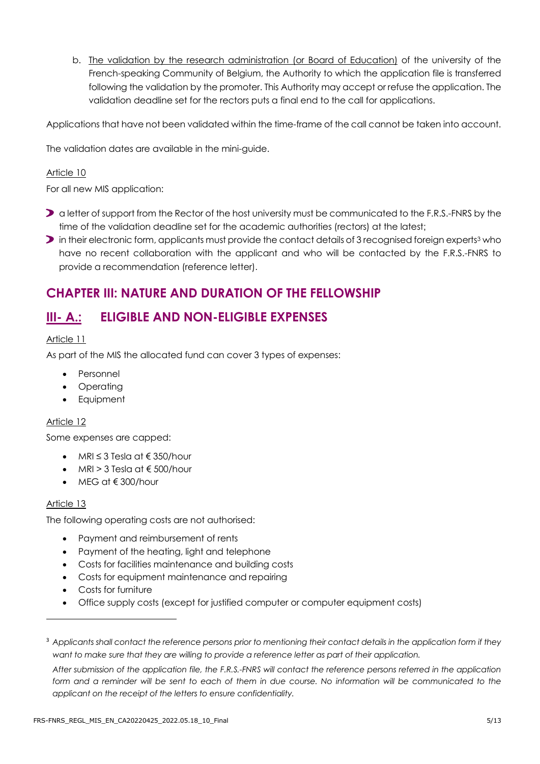b. The validation by the research administration (or Board of Education) of the university of the French-speaking Community of Belgium, the Authority to which the application file is transferred following the validation by the promoter. This Authority may accept or refuse the application. The validation deadline set for the rectors puts a final end to the call for applications.

Applications that have not been validated within the time-frame of the call cannot be taken into account.

The validation dates are available in the mini-guide.

#### Article 10

For all new MIS application:

- **a** letter of support from the Rector of the host university must be communicated to the F.R.S.-FNRS by the time of the validation deadline set for the academic authorities (rectors) at the latest;
- in their electronic form, applicants must provide the contact details of 3 recognised foreign experts<sup>3</sup> who have no recent collaboration with the applicant and who will be contacted by the F.R.S.-FNRS to provide a recommendation (reference letter).

# **CHAPTER III: NATURE AND DURATION OF THE FELLOWSHIP**

# **III- A.: ELIGIBLE AND NON-ELIGIBLE EXPENSES**

#### Article 11

As part of the MIS the allocated fund can cover 3 types of expenses:

- Personnel
- Operating
- Equipment

## Article 12

Some expenses are capped:

- MRI ≤ 3 Tesla at € 350/hour
- MRI > 3 Tesla at  $\epsilon$  500/hour
- MEG at € 300/hour

#### Article 13

The following operating costs are not authorised:

- Payment and reimbursement of rents
- Payment of the heating, light and telephone
- Costs for facilities maintenance and building costs
- Costs for equipment maintenance and repairing
- Costs for furniture
- Office supply costs (except for justified computer or computer equipment costs)

<sup>3</sup> *Applicants shall contact the reference persons prior to mentioning their contact details in the application form if they want to make sure that they are willing to provide a reference letter as part of their application.*

*After submission of the application file, the F.R.S.-FNRS will contact the reference persons referred in the application*  form and a reminder will be sent to each of them in due course. No information will be communicated to the *applicant on the receipt of the letters to ensure confidentiality.*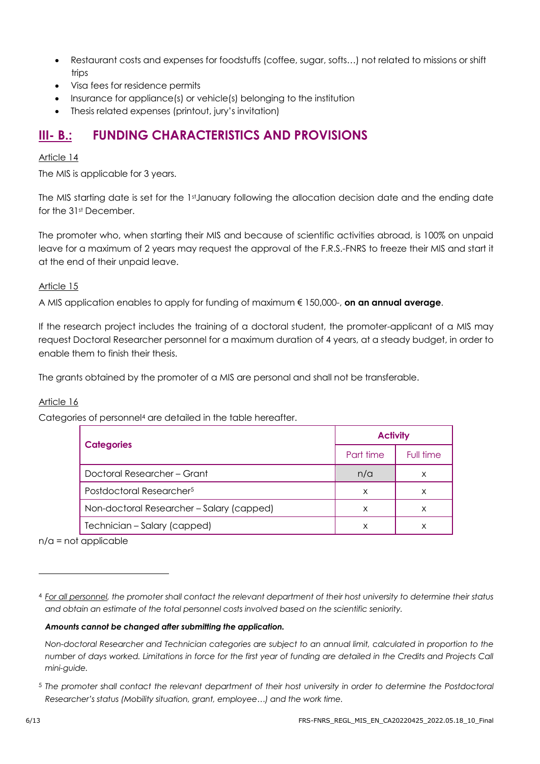- Restaurant costs and expenses for foodstuffs (coffee, sugar, softs…) not related to missions or shift trips
- Visa fees for residence permits
- Insurance for appliance(s) or vehicle(s) belonging to the institution
- Thesis related expenses (printout, jury's invitation)

# **III- B.: FUNDING CHARACTERISTICS AND PROVISIONS**

## Article 14

The MIS is applicable for 3 years.

The MIS starting date is set for the 1st January following the allocation decision date and the ending date for the 31st December.

The promoter who, when starting their MIS and because of scientific activities abroad, is 100% on unpaid leave for a maximum of 2 years may request the approval of the F.R.S.-FNRS to freeze their MIS and start it at the end of their unpaid leave.

## Article 15

A MIS application enables to apply for funding of maximum € 150,000-, **on an annual average**.

If the research project includes the training of a doctoral student, the promoter-applicant of a MIS may request Doctoral Researcher personnel for a maximum duration of 4 years, at a steady budget, in order to enable them to finish their thesis.

The grants obtained by the promoter of a MIS are personal and shall not be transferable.

## Article 16

Categories of personnel<sup>4</sup> are detailed in the table hereafter.

| <b>Categories</b>                         | <b>Activity</b> |           |
|-------------------------------------------|-----------------|-----------|
|                                           | Part time       | Full time |
| Doctoral Researcher – Grant               | n/a             | x         |
| Postdoctoral Researcher <sup>5</sup>      | X               | x         |
| Non-doctoral Researcher - Salary (capped) | X               | x         |
| Technician – Salary (capped)              | х               |           |

 $n/a$  = not applicable

#### *Amounts cannot be changed after submitting the application.*

*Non-doctoral Researcher and Technician categories are subject to an annual limit, calculated in proportion to the number of days worked. Limitations in force for the first year of funding are detailed in the Credits and Projects Call mini-guide.*

<sup>4</sup> *For all personnel, the promoter shall contact the relevant department of their host university to determine their status and obtain an estimate of the total personnel costs involved based on the scientific seniority.*

<sup>5</sup> *The promoter shall contact the relevant department of their host university in order to determine the Postdoctoral Researcher's status (Mobility situation, grant, employee…) and the work time.*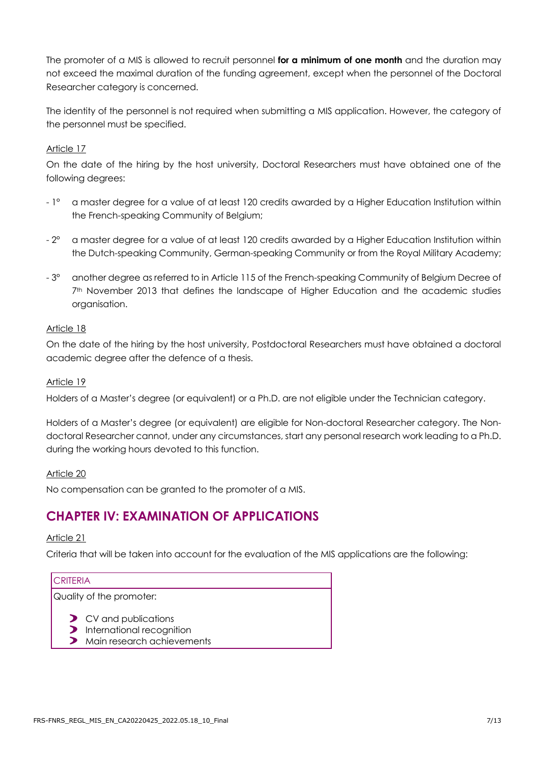The promoter of a MIS is allowed to recruit personnel **for a minimum of one month** and the duration may not exceed the maximal duration of the funding agreement, except when the personnel of the Doctoral Researcher category is concerned.

The identity of the personnel is not required when submitting a MIS application. However, the category of the personnel must be specified.

## Article 17

On the date of the hiring by the host university, Doctoral Researchers must have obtained one of the following degrees:

- 1° a master degree for a value of at least 120 credits awarded by a Higher Education Institution within the French-speaking Community of Belgium;
- 2° a master degree for a value of at least 120 credits awarded by a Higher Education Institution within the Dutch-speaking Community, German-speaking Community or from the Royal Military Academy;
- 3° another degree as referred to in Article 115 of the French-speaking Community of Belgium Decree of 7<sup>th</sup> November 2013 that defines the landscape of Higher Education and the academic studies organisation.

## Article 18

On the date of the hiring by the host university, Postdoctoral Researchers must have obtained a doctoral academic degree after the defence of a thesis.

## Article 19

Holders of a Master's degree (or equivalent) or a Ph.D. are not eligible under the Technician category.

Holders of a Master's degree (or equivalent) are eligible for Non-doctoral Researcher category. The Nondoctoral Researcher cannot, under any circumstances, start any personal research work leading to a Ph.D. during the working hours devoted to this function.

## Article 20

No compensation can be granted to the promoter of a MIS.

# **CHAPTER IV: EXAMINATION OF APPLICATIONS**

## Article 21

Criteria that will be taken into account for the evaluation of the MIS applications are the following:

## **CRITERIA**

Quality of the promoter:

> CV and publications

- **D** International recognition
- **>** Main research achievements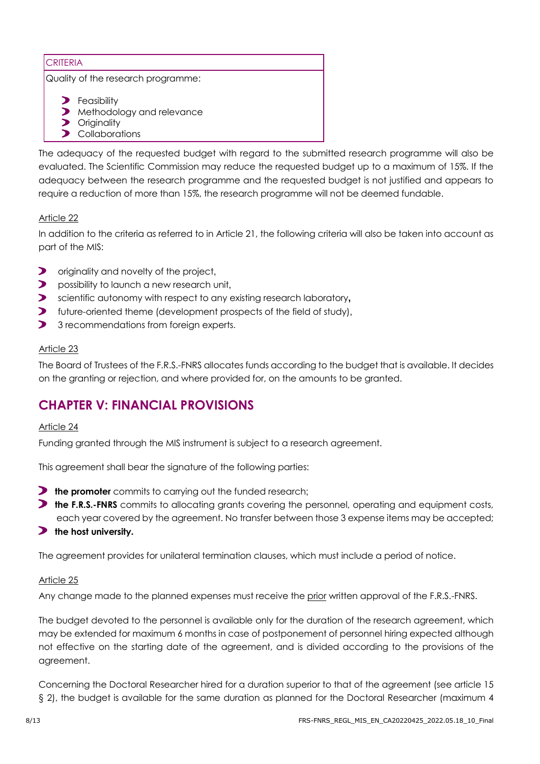## **CRITERIA**

Quality of the research programme:

- **>** Feasibility
- Methodology and relevance
- **Originality**
- > Collaborations

The adequacy of the requested budget with regard to the submitted research programme will also be evaluated. The Scientific Commission may reduce the requested budget up to a maximum of 15%. If the adequacy between the research programme and the requested budget is not justified and appears to require a reduction of more than 15%, the research programme will not be deemed fundable.

## Article 22

In addition to the criteria as referred to in Article 21, the following criteria will also be taken into account as part of the MIS:

- $\blacktriangleright$ originality and novelty of the project,
- $\blacktriangleright$ possibility to launch a new research unit,
- $\blacktriangleright$ scientific autonomy with respect to any existing research laboratory**,**
- $\blacktriangleright$ future-oriented theme (development prospects of the field of study),
- $\blacktriangleright$ 3 recommendations from foreign experts.

## Article 23

The Board of Trustees of the F.R.S.-FNRS allocates funds according to the budget that is available. It decides on the granting or rejection, and where provided for, on the amounts to be granted.

# **CHAPTER V: FINANCIAL PROVISIONS**

## Article 24

Funding granted through the MIS instrument is subject to a research agreement.

This agreement shall bear the signature of the following parties:

- **the promoter** commits to carrying out the funded research;
- **the F.R.S.-FNRS** commits to allocating grants covering the personnel, operating and equipment costs, each year covered by the agreement. No transfer between those 3 expense items may be accepted;
- **the host university.**

The agreement provides for unilateral termination clauses, which must include a period of notice.

## Article 25

Any change made to the planned expenses must receive the prior written approval of the F.R.S.-FNRS.

The budget devoted to the personnel is available only for the duration of the research agreement, which may be extended for maximum 6 months in case of postponement of personnel hiring expected although not effective on the starting date of the agreement, and is divided according to the provisions of the agreement.

Concerning the Doctoral Researcher hired for a duration superior to that of the agreement (see article 15 § 2), the budget is available for the same duration as planned for the Doctoral Researcher (maximum 4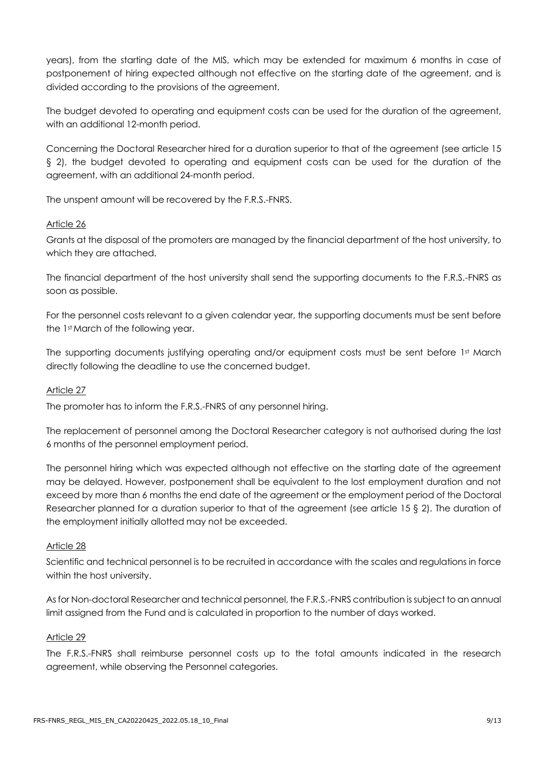years), from the starting date of the MIS, which may be extended for maximum 6 months in case of postponement of hiring expected although not effective on the starting date of the agreement, and is divided according to the provisions of the agreement.

The budget devoted to operating and equipment costs can be used for the duration of the agreement, with an additional 12-month period.

Concerning the Doctoral Researcher hired for a duration superior to that of the agreement (see article 15 § 2), the budget devoted to operating and equipment costs can be used for the duration of the agreement, with an additional 24-month period.

The unspent amount will be recovered by the F.R.S.-FNRS.

#### Article 26

Grants at the disposal of the promoters are managed by the financial department of the host university, to which they are attached.

The financial department of the host university shall send the supporting documents to the F.R.S.-FNRS as soon as possible.

For the personnel costs relevant to a given calendar year, the supporting documents must be sent before the 1st March of the following year.

The supporting documents justifying operating and/or equipment costs must be sent before 1st March directly following the deadline to use the concerned budget.

## Article 27

The promoter has to inform the F.R.S.-FNRS of any personnel hiring.

The replacement of personnel among the Doctoral Researcher category is not authorised during the last 6 months of the personnel employment period.

The personnel hiring which was expected although not effective on the starting date of the agreement may be delayed. However, postponement shall be equivalent to the lost employment duration and not exceed by more than 6 months the end date of the agreement or the employment period of the Doctoral Researcher planned for a duration superior to that of the agreement (see article 15 § 2). The duration of the employment initially allotted may not be exceeded.

#### Article 28

Scientific and technical personnel is to be recruited in accordance with the scales and regulations in force within the host university.

As for Non-doctoral Researcher and technical personnel, the F.R.S.-FNRS contribution is subject to an annual limit assigned from the Fund and is calculated in proportion to the number of days worked.

#### Article 29

The F.R.S.-FNRS shall reimburse personnel costs up to the total amounts indicated in the research agreement, while observing the Personnel categories.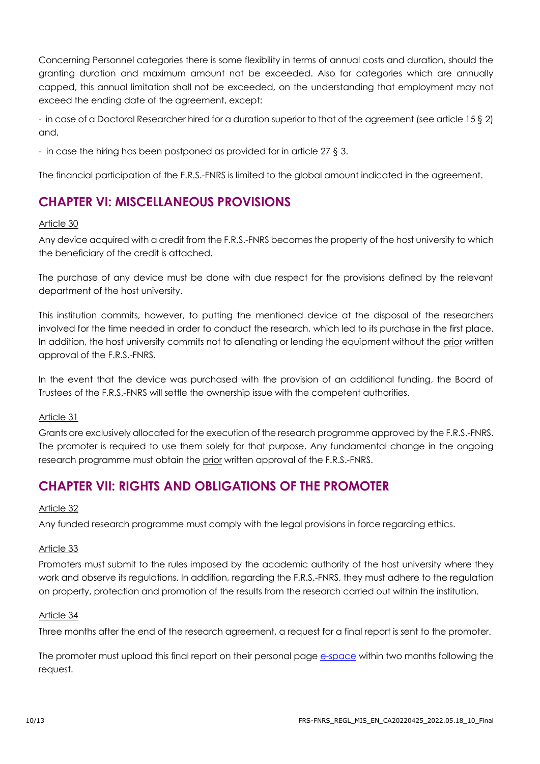Concerning Personnel categories there is some flexibility in terms of annual costs and duration, should the granting duration and maximum amount not be exceeded. Also for categories which are annually capped, this annual limitation shall not be exceeded, on the understanding that employment may not exceed the ending date of the agreement, except:

- in case of a Doctoral Researcher hired for a duration superior to that of the agreement (see article 15 § 2) and,

- in case the hiring has been postponed as provided for in article 27 § 3.

The financial participation of the F.R.S.-FNRS is limited to the global amount indicated in the agreement.

# **CHAPTER VI: MISCELLANEOUS PROVISIONS**

#### Article 30

Any device acquired with a credit from the F.R.S.-FNRS becomes the property of the host university to which the beneficiary of the credit is attached.

The purchase of any device must be done with due respect for the provisions defined by the relevant department of the host university.

This institution commits, however, to putting the mentioned device at the disposal of the researchers involved for the time needed in order to conduct the research, which led to its purchase in the first place. In addition, the host university commits not to alienating or lending the equipment without the prior written approval of the F.R.S.-FNRS.

In the event that the device was purchased with the provision of an additional funding, the Board of Trustees of the F.R.S.-FNRS will settle the ownership issue with the competent authorities.

#### Article 31

Grants are exclusively allocated for the execution of the research programme approved by the F.R.S.-FNRS. The promoter is required to use them solely for that purpose. Any fundamental change in the ongoing research programme must obtain the prior written approval of the F.R.S.-FNRS.

# **CHAPTER VII: RIGHTS AND OBLIGATIONS OF THE PROMOTER**

#### Article 32

Any funded research programme must comply with the legal provisions in force regarding ethics.

#### Article 33

Promoters must submit to the rules imposed by the academic authority of the host university where they work and observe its regulations. In addition, regarding the F.R.S.-FNRS, they must adhere to the regulation on property, protection and promotion of the results from the research carried out within the institution.

#### Article 34

Three months after the end of the research agreement, a request for a final report is sent to the promoter.

The promoter must upload this final report on their personal page [e-space](https://e-space.frs-fnrs.be/) within two months following the request.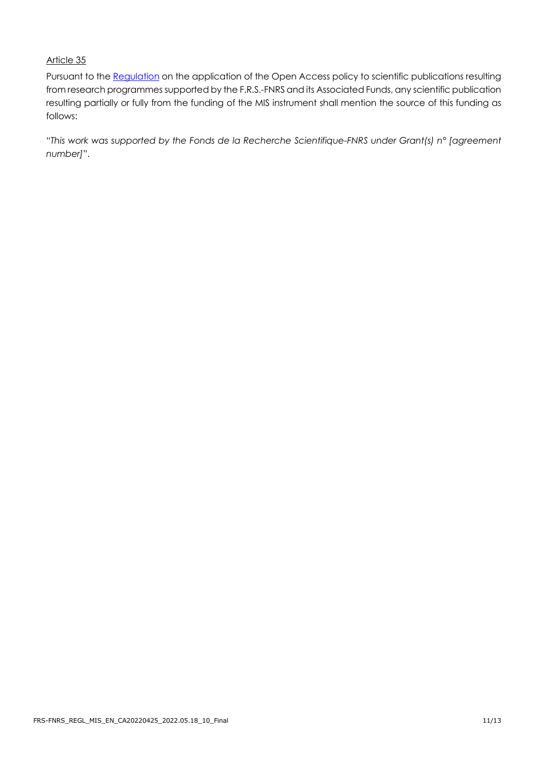## Article 35

Pursuant to the [Regulation](https://www.frs-fnrs.be/en/docs/Reglement_OPEN_ACCESS_EN.pdf) on the application of the Open Access policy to scientific publications resulting from research programmes supported by the F.R.S.-FNRS and its Associated Funds, any scientific publication resulting partially or fully from the funding of the MIS instrument shall mention the source of this funding as follows:

"*This work was supported by the Fonds de la Recherche Scientifique-FNRS under Grant(s) n° [agreement number]*".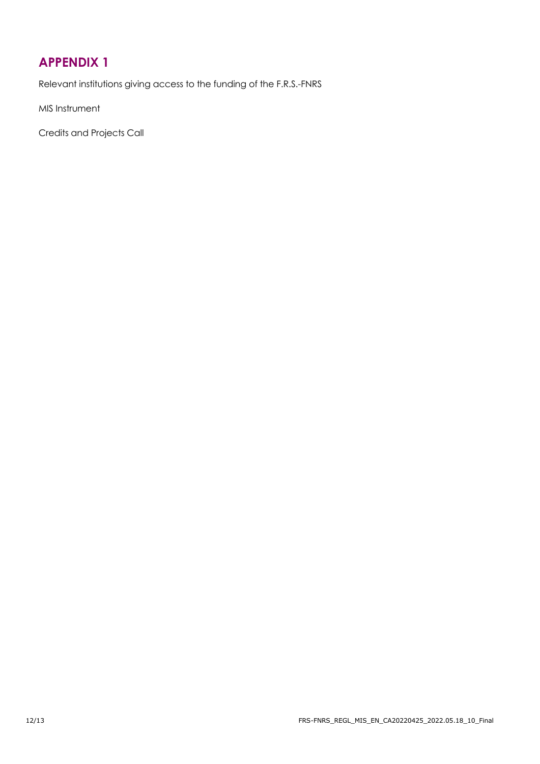# <span id="page-11-0"></span>**[APPENDIX 1](file://///fnrsasdom.local/Share/Fraselle/FL_fichiers%20communs%20avec%20Céline/APPEL%20crédits%20projets%202016/Règlements%20finalisés/PROJET%20CDR_2016_EN.docx%23_Article_4)**

Relevant institutions giving access to the funding of the F.R.S.-FNRS

MIS Instrument

Credits and Projects Call